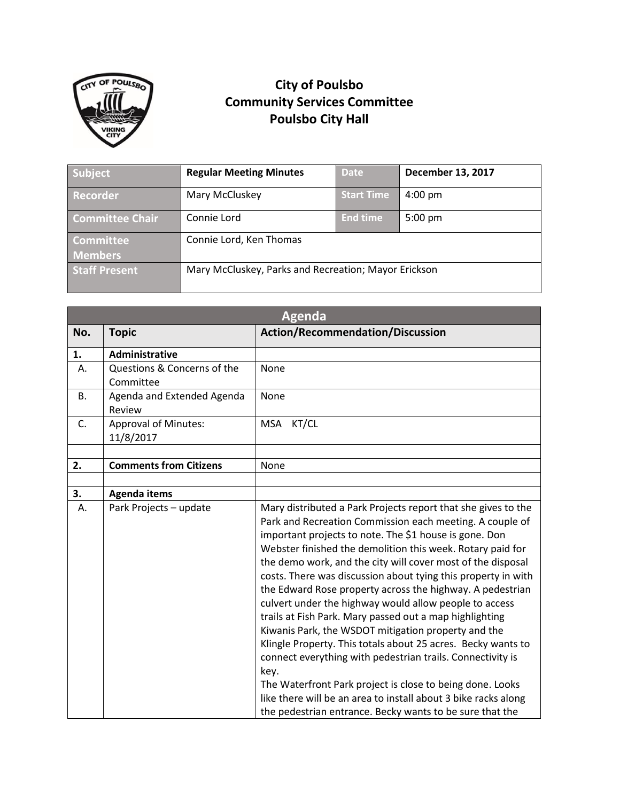

## **City of Poulsbo Community Services Committee Poulsbo City Hall**

| Subject                | <b>Regular Meeting Minutes</b>                       | <b>Date</b>       | <b>December 13, 2017</b> |
|------------------------|------------------------------------------------------|-------------------|--------------------------|
| Recorder               | Mary McCluskey                                       | <b>Start Time</b> | $4:00 \text{ pm}$        |
| <b>Committee Chair</b> | Connie Lord                                          | <b>End time</b>   | $5:00$ pm                |
| <b>Committee</b>       | Connie Lord, Ken Thomas                              |                   |                          |
| <b>Members</b>         |                                                      |                   |                          |
| <b>Staff Present</b>   | Mary McCluskey, Parks and Recreation; Mayor Erickson |                   |                          |

| <b>Agenda</b>                            |                                                                                                                                                                                                                                                                                                                                                                                                                                                                                                                                                                                                                                                                                                                                                                                                                                                                                                 |  |  |
|------------------------------------------|-------------------------------------------------------------------------------------------------------------------------------------------------------------------------------------------------------------------------------------------------------------------------------------------------------------------------------------------------------------------------------------------------------------------------------------------------------------------------------------------------------------------------------------------------------------------------------------------------------------------------------------------------------------------------------------------------------------------------------------------------------------------------------------------------------------------------------------------------------------------------------------------------|--|--|
| <b>Topic</b>                             | <b>Action/Recommendation/Discussion</b>                                                                                                                                                                                                                                                                                                                                                                                                                                                                                                                                                                                                                                                                                                                                                                                                                                                         |  |  |
| Administrative                           |                                                                                                                                                                                                                                                                                                                                                                                                                                                                                                                                                                                                                                                                                                                                                                                                                                                                                                 |  |  |
| Questions & Concerns of the<br>Committee | None                                                                                                                                                                                                                                                                                                                                                                                                                                                                                                                                                                                                                                                                                                                                                                                                                                                                                            |  |  |
| Agenda and Extended Agenda<br>Review     | None                                                                                                                                                                                                                                                                                                                                                                                                                                                                                                                                                                                                                                                                                                                                                                                                                                                                                            |  |  |
| <b>Approval of Minutes:</b><br>11/8/2017 | KT/CL<br><b>MSA</b>                                                                                                                                                                                                                                                                                                                                                                                                                                                                                                                                                                                                                                                                                                                                                                                                                                                                             |  |  |
|                                          |                                                                                                                                                                                                                                                                                                                                                                                                                                                                                                                                                                                                                                                                                                                                                                                                                                                                                                 |  |  |
|                                          | None                                                                                                                                                                                                                                                                                                                                                                                                                                                                                                                                                                                                                                                                                                                                                                                                                                                                                            |  |  |
|                                          |                                                                                                                                                                                                                                                                                                                                                                                                                                                                                                                                                                                                                                                                                                                                                                                                                                                                                                 |  |  |
|                                          |                                                                                                                                                                                                                                                                                                                                                                                                                                                                                                                                                                                                                                                                                                                                                                                                                                                                                                 |  |  |
|                                          | Mary distributed a Park Projects report that she gives to the<br>Park and Recreation Commission each meeting. A couple of<br>important projects to note. The \$1 house is gone. Don<br>Webster finished the demolition this week. Rotary paid for<br>the demo work, and the city will cover most of the disposal<br>costs. There was discussion about tying this property in with<br>the Edward Rose property across the highway. A pedestrian<br>culvert under the highway would allow people to access<br>trails at Fish Park. Mary passed out a map highlighting<br>Kiwanis Park, the WSDOT mitigation property and the<br>Klingle Property. This totals about 25 acres. Becky wants to<br>connect everything with pedestrian trails. Connectivity is<br>key.<br>The Waterfront Park project is close to being done. Looks<br>like there will be an area to install about 3 bike racks along |  |  |
|                                          | <b>Comments from Citizens</b><br><b>Agenda items</b><br>Park Projects - update                                                                                                                                                                                                                                                                                                                                                                                                                                                                                                                                                                                                                                                                                                                                                                                                                  |  |  |